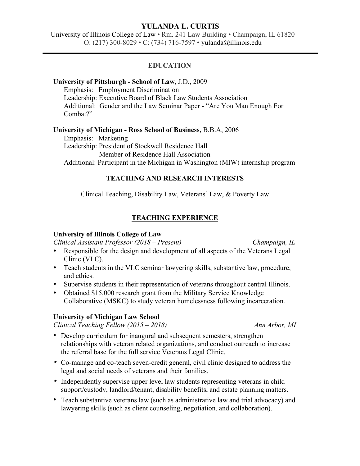# **YULANDA L. CURTIS**

University of Illinois College of Law • Rm. 241 Law Building • Champaign, IL 61820 O: (217) 300-8029 • C: (734) 716-7597 • yulanda@illinois.edu

## **EDUCATION**

## **University of Pittsburgh - School of Law,** J.D., 2009

Emphasis: Employment Discrimination Leadership: Executive Board of Black Law Students Association Additional: Gender and the Law Seminar Paper - "Are You Man Enough For Combat?"

### **University of Michigan - Ross School of Business,** B.B.A, 2006

Emphasis: Marketing Leadership: President of Stockwell Residence Hall Member of Residence Hall Association Additional: Participant in the Michigan in Washington (MIW) internship program

## **TEACHING AND RESEARCH INTERESTS**

Clinical Teaching, Disability Law, Veterans' Law, & Poverty Law

## **TEACHING EXPERIENCE**

## **University of Illinois College of Law**

*Clinical Assistant Professor (2018 – Present) Champaign, IL*

- Responsible for the design and development of all aspects of the Veterans Legal Clinic (VLC).
- Teach students in the VLC seminar lawyering skills, substantive law, procedure, and ethics.
- Supervise students in their representation of veterans throughout central Illinois.
- Obtained \$15,000 research grant from the Military Service Knowledge Collaborative (MSKC) to study veteran homelessness following incarceration.

## **University of Michigan Law School**

*Clinical Teaching Fellow (2015 – 2018) Ann Arbor, MI*

- Develop curriculum for inaugural and subsequent semesters, strengthen relationships with veteran related organizations, and conduct outreach to increase the referral base for the full service Veterans Legal Clinic.
- Co-manage and co-teach seven-credit general, civil clinic designed to address the legal and social needs of veterans and their families.
- Independently supervise upper level law students representing veterans in child support/custody, landlord/tenant, disability benefits, and estate planning matters.
- Teach substantive veterans law (such as administrative law and trial advocacy) and lawyering skills (such as client counseling, negotiation, and collaboration).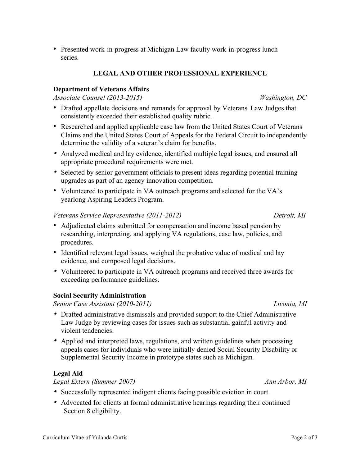• Presented work-in-progress at Michigan Law faculty work-in-progress lunch series.

## **LEGAL AND OTHER PROFESSIONAL EXPERIENCE**

## **Department of Veterans Affairs**

*Associate Counsel (2013-2015) Washington, DC*

- Drafted appellate decisions and remands for approval by Veterans' Law Judges that consistently exceeded their established quality rubric.
- Researched and applied applicable case law from the United States Court of Veterans Claims and the United States Court of Appeals for the Federal Circuit to independently determine the validity of a veteran's claim for benefits.
- Analyzed medical and lay evidence, identified multiple legal issues, and ensured all appropriate procedural requirements were met.
- Selected by senior government officials to present ideas regarding potential training upgrades as part of an agency innovation competition.
- Volunteered to participate in VA outreach programs and selected for the VA's yearlong Aspiring Leaders Program.

### *Veterans Service Representative (2011-2012) Detroit, MI*

- Adjudicated claims submitted for compensation and income based pension by researching, interpreting, and applying VA regulations, case law, policies, and procedures.
- Identified relevant legal issues, weighed the probative value of medical and lay evidence, and composed legal decisions.
- Volunteered to participate in VA outreach programs and received three awards for exceeding performance guidelines.

## **Social Security Administration**

*Senior Case Assistant (2010-2011) Livonia, MI*

- Drafted administrative dismissals and provided support to the Chief Administrative Law Judge by reviewing cases for issues such as substantial gainful activity and violent tendencies.
- Applied and interpreted laws, regulations, and written guidelines when processing appeals cases for individuals who were initially denied Social Security Disability or Supplemental Security Income in prototype states such as Michigan*.*

## **Legal Aid**

*Legal Extern (Summer 2007) Ann Arbor, MI*

- Successfully represented indigent clients facing possible eviction in court.
- Advocated for clients at formal administrative hearings regarding their continued Section 8 eligibility.